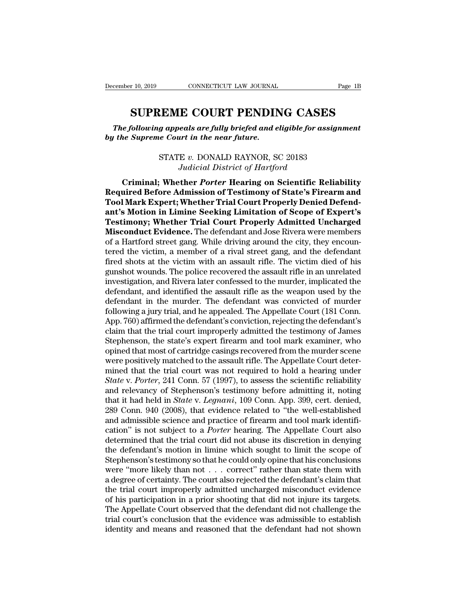<sup>r 10, 2019</sup> CONNECTICUT LAW JOURNAL Page 1B<br> **SUPREME COURT PENDING CASES**<br> *Collowing appeals are fully briefed and eligible for assignment*<br> *Supreme Court in the near future. The following appeals are fully briefed and eligible for assignment*<br> *The following appeals are fully briefed and eligible for assignment*<br> *The Supreme Court in the near future. becember 10, 2019 connecticut LAW JOURNAL*<br> **SUPREME COURT PENDIN**<br> *The following appeals are fully briefed and e*<br> *by the Supreme Court in the near future.*<br>  $\sum_{n=1}^{\infty}$ **EME COURT PENDING CASES**<br>*g* appeals are fully briefed and eligible for assignne<br>e Court in the near future.<br>STATE v. DONALD RAYNOR, SC 20183<br>Judicial District of Hartford **SUPREME COURT PENDING CASES**<br>*The following appeals are fully briefed and eligible for assignment*<br>*by the Supreme Court in the near future.*<br>*STATE v. DONALD RAYNOR, SC 20183*<br>*Judicial District of Hartford*<br>**Criminal; W** 

**Criminal; appeals are fully briefed and eligible for assignment<br>
re Supreme Court in the near future.<br>
STATE v. DONALD RAYNOR, SC 20183<br>** *Judicial District of Hartford***<br>
<b>Criminal; Whether Porter Hearing on Scientific Rel** *Reflection of Supreme Court in the near future.*<br>
STATE v. DONALD RAYNOR, SC 20183<br> *Required Before Admission of Testimony of State's Firearm and*<br> **Required Before Admission of Testimony of State's Firearm and**<br> **Requir TATE v. DONALD RAYNOR, SC 20183**<br> *Tudicial District of Hartford*<br> **Criminal; Whether Porter Hearing on Scientific Reliability**<br> **Required Before Admission of Testimony of State's Firearm and Tool Mark Expert; Whether Tri antilist STATE v. DONALD RAYNOR, SC 20183**<br> *Andicial District of Hartford*<br> **Criminal; Whether Porter Hearing on Scientific Reliability**<br> **Required Before Admission of Testimony of State's Firearm and<br>
<b>Tool Mark Expert;** *THE 0. DONALD RATNOR, SC 20165*<br>*Judicial District of Hartford*<br>**Criminal; Whether** *Porter* **Hearing on Scientific Reliability<br>Required Before Admission of Testimony of State's Firearm and<br>Tool Mark Expert; Whether Trial C Matter Porter Hearing on Scientific Reliability**<br> **Microsofter Porter Hearing on Scientific Reliability**<br> **Mequired Before Admission of Testimony of State's Firearm and<br>
Tool Mark Expert; Whether Trial Court Properly Deni** Criminal; Whether *Porter* Hearing on Scientific Reliability<br>Required Before Admission of Testimony of State's Firearm and<br>Tool Mark Expert; Whether Trial Court Properly Denied Defend-<br>ant's Motion in Limine Seeking Limita Required Before Admission of Testimony of State's Firearm and<br>Tool Mark Expert; Whether Trial Court Properly Denied Defend-<br>ant's Motion in Limine Seeking Limitation of Scope of Expert's<br>Testimony; Whether Trial Court Prop Tool Mark Expert; Whether Trial Court Properly Denied Defend-<br>ant's Motion in Limine Seeking Limitation of Scope of Expert's<br>Testimony; Whether Trial Court Properly Admitted Uncharged<br>Misconduct Evidence. The defendant and ant's Motion in Limine Seeking Limitation of Scope of Expert's<br>Testimony; Whether Trial Court Properly Admitted Uncharged<br>Misconduct Evidence. The defendant and Jose Rivera were members<br>of a Hartford street gang. While dri **Testimony; Whether Trial Court Properly Admitted Uncharged Misconduct Evidence.** The defendant and Jose Rivera were members of a Hartford street gang. While driving around the city, they encountered the victim, a member o **Misconduct Evidence.** The defendant and Jose Rivera were members<br>of a Hartford street gang. While driving around the city, they encoun-<br>tered the victim, a member of a rival street gang, and the defendant<br>fired shots at t of a Hartford street gang. While driving around the city, they encountered the victim, a member of a rival street gang, and the defendant fired shots at the victim with an assault rifle. The victim died of his gunshot woun tered the victim, a member of a rival street gang, and the defendant<br>fired shots at the victim with an assault rifle. The victim died of his<br>gunshot wounds. The police recovered the assault rifle in an unrelated<br>investigat fired shots at the victim with an assault rifle. The victim died of his<br>gunshot wounds. The police recovered the assault rifle in an unrelated<br>investigation, and Rivera later confessed to the murder, implicated the<br>defenda gunshot wounds. The police recovered the assault rifle in an unrelated<br>investigation, and Rivera later confessed to the murder, implicated the<br>defendant, and identified the assault rifle as the weapon used by the<br>defendant investigation, and Rivera later confessed to the murder, implicated the defendant, and identified the assault rifle as the weapon used by the defendant in the murder. The defendant was convicted of murder following a jury defendant, and identified the assault rifle as the weapon used by the<br>defendant in the murder. The defendant was convicted of murder<br>following a jury trial, and he appealed. The Appellate Court (181 Conn.<br>App. 760) affirme defendant in the murder. The defendant was convicted of murder<br>following a jury trial, and he appealed. The Appellate Court (181 Conn.<br>App. 760) affirmed the defendant's conviction, rejecting the defendant's<br>claim that the following a jury trial, and he appealed. The Appellate Court (181 Conn.<br>App. 760) affirmed the defendant's conviction, rejecting the defendant's<br>claim that the trial court improperly admitted the testimony of James<br>Stephen App. 760) affirmed the defendant's conviction, rejecting the defendant's<br>claim that the trial court improperly admitted the testimony of James<br>Stephenson, the state's expert firearm and tool mark examiner, who<br>opined that claim that the trial court improperly admitted the testimony of James<br>Stephenson, the state's expert firearm and tool mark examiner, who<br>opined that most of cartridge casings recovered from the murder scene<br>were positively Stephenson, the state's expert firearm and tool mark examiner, who<br>opined that most of cartridge casings recovered from the murder scene<br>were positively matched to the assault rifle. The Appellate Court deter-<br>mined that t opined that most of cartridge casings recovered from the murder scene<br>were positively matched to the assault rifle. The Appellate Court deter-<br>mined that the trial court was not required to hold a hearing under<br>*State* v. were positively matched to the assault rifle. The Appellate Court determined that the trial court was not required to hold a hearing under<br>State v. Porter, 241 Conn. 57 (1997), to assess the scientific reliability<br>and rele mined that the trial court was not required to hold a hearing under<br>State v. Porter, 241 Conn. 57 (1997), to assess the scientific reliability<br>and relevancy of Stephenson's testimony before admitting it, noting<br>that it had State v. Porter, 241 Conn. 57 (1997), to assess the scientific reliability<br>and relevancy of Stephenson's testimony before admitting it, noting<br>that it had held in *State* v. Legnani, 109 Conn. App. 399, cert. denied,<br>289 C and relevancy of Stephenson's testimony before admitting it, noting<br>that it had held in *State* v. *Legnani*, 109 Conn. App. 399, cert. denied,<br>289 Conn. 940 (2008), that evidence related to "the well-established<br>and admis that it had held in *State* v. *Legnani*, 109 Conn. App. 399, cert. denied, 289 Conn. 940 (2008), that evidence related to "the well-established and admissible science and practice of firearm and tool mark identification" 289 Conn. 940 (2008), that evidence related to "the well-established<br>and admissible science and practice of firearm and tool mark identifi-<br>cation" is not subject to a *Porter* hearing. The Appellate Court also<br>determined and admissible science and practice of firearm and tool mark identification" is not subject to a *Porter* hearing. The Appellate Court also determined that the trial court did not abuse its discretion in denying the defen cation" is not subject to a *Porter* hearing. The Appellate Court also<br>determined that the trial court did not abuse its discretion in denying<br>the defendant's motion in limine which sought to limit the scope of<br>Stephenson determined that the trial court did not abuse its discretion in denying<br>the defendant's motion in limine which sought to limit the scope of<br>Stephenson's testimony so that he could only opine that his conclusions<br>were "more the defendant's motion in limine which sought to limit the scope of Stephenson's testimony so that he could only opine that his conclusions were "more likely than not . . . correct" rather than state them with a degree of Stephenson's testimony so that he could only opine that his conclusions<br>were "more likely than not  $\dots$  correct" rather than state them with<br>a degree of certainty. The court also rejected the defendant's claim that<br>the tr were "more likely than not  $\ldots$  correct" rather than state them with a degree of certainty. The court also rejected the defendant's claim that the trial court improperly admitted uncharged misconduct evidence of his part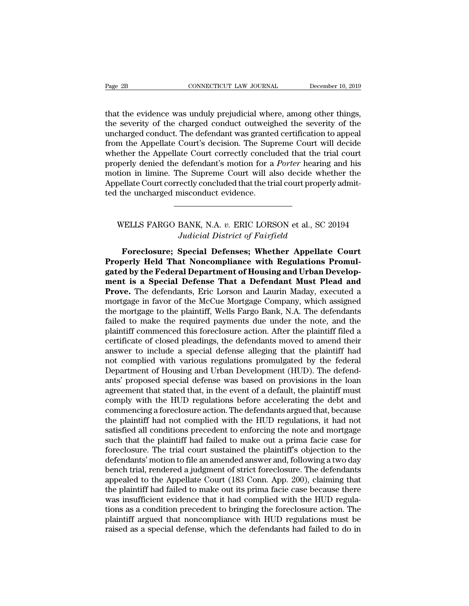Trage 2B<br>
CONNECTICUT LAW JOURNAL December 10, 2019<br>
that the evidence was unduly prejudicial where, among other things,<br>
the severity of the charged conduct outweighed the severity of the<br>
uncharged conduct. The defendant Example 28 CONNECTICUT LAW JOURNAL December 10, 2019<br>that the evidence was unduly prejudicial where, among other things,<br>the severity of the charged conduct outweighed the severity of the<br>uncharged conduct. The defendant w Page 2B<br>
connectricut LAW JOURNAL<br>
that the evidence was unduly prejudicial where, among other things,<br>
the severity of the charged conduct outweighed the severity of the<br>
uncharged conduct. The defendant was granted certi Fage 2B<br>
CONNECTICUT LAW JOURNAL<br>
that the evidence was unduly prejudicial where, among other things,<br>
the severity of the charged conduct outweighed the severity of the<br>
uncharged conduct. The defendant was granted certif that the evidence was unduly prejudicial where, among other things,<br>the severity of the charged conduct outweighed the severity of the<br>uncharged conduct. The defendant was granted certification to appeal<br>from the Appellate that the evidence was unduly prejudicial where, among other things,<br>the severity of the charged conduct outweighed the severity of the<br>uncharged conduct. The defendant was granted certification to appeal<br>from the Appellate that the evidence was unduly prejudicial where, among other things,<br>the severity of the charged conduct outweighed the severity of the<br>uncharged conduct. The defendant was granted certification to appeal<br>from the Appellate the severity of the charged conduct outweighed the severity of the uncharged conduct. The defendant was granted certification to appeal from the Appellate Court's decision. The Supreme Court will decide whether the Appella uncharged conduct. The defendant was grante<br>from the Appellate Court's decision. The Sup<br>whether the Appellate Court correctly conclu<br>properly denied the defendant's motion for a<br>motion in limine. The Supreme Court will al perly denied the defendant's motion for a *Porter* hearing and his<br>tion in limine. The Supreme Court will also decide whether the<br>pellate Court correctly concluded that the trial court properly admit-<br>the uncharged miscond *Judicial District of Fairfield*<br>*Judicial District of Fairfield*<br>*Judicial District of Fairfield*<br>**Special Defenses; Whether Appellate** 

Foreclosure; Special Defenses; Whether Appellate Court<br>
Foreclosure; Special Defenses; Whether Appellate Court<br>
Foreclosure; Special Defenses; Whether Appellate Court<br>
Defenses; Whether Appellate Court<br>
Defenses: The Regul WELLS FARGO BANK, N.A. *v.* ERIC LORSON et al., SC 20194<br>*Judicial District of Fairfield*<br>**Properly Held That Noncompliance with Regulations Promul-<br>gated by the Federal Department of Housing and Urban Develop-<br>ment is a S** WELLS FARGO BANK, N.A. v. ERIC LORSON et al., SC 20194<br>*Judicial District of Fairfield*<br>**Foreclosure: Special Defenses: Whether Appellate Court**<br>**Properly Held That Noncompliance with Regulations Promul-<br>gated by the Feder** WELLS FARGO BANK, N.A. *v.* ERIC LORSON et al., SC 20194<br>*Judicial District of Fairfield*<br>**Foreclosure; Special Defenses; Whether Appellate Court**<br>**Properly Held That Noncompliance with Regulations Promulgated by the Feder** *Judicial District of Fairfield*<br>Foreclosure; Special Defenses; Whether Appellate Court<br>Properly Held That Noncompliance with Regulations Promulgated by the Federal Department of Housing and Urban Develop-<br>ment is a Specia Foreclosure; Special Defenses; Whether Appellate Court<br>Properly Held That Noncompliance with Regulations Promulgated by the Federal Department of Housing and Urban Develop-<br>ment is a Special Defense That a Defendant Must P Foreclosure; Special Defenses; Whether Appellate Court<br>Properly Held That Noncompliance with Regulations Promulgated by the Federal Department of Housing and Urban Develop-<br>ment is a Special Defense That a Defendant Must P **Properly Held That Noncompliance with Regulations Promulgated by the Federal Department of Housing and Urban Development is a Special Defense That a Defendant Must Plead and Prove. The defendants, Eric Lorson and Laurin M** gated by the Federal Department of Housing and Urban Development is a Special Defense That a Defendant Must Plead and<br>Prove. The defendants, Eric Lorson and Laurin Maday, executed a<br>mortgage in favor of the McCue Mortgage ment is a Special Defense That a Defendant Must Plead and<br>Prove. The defendants, Eric Lorson and Laurin Maday, executed a<br>mortgage in favor of the McCue Mortgage Company, which assigned<br>the mortgage to the plaintiff, Wells **Prove.** The defendants, Eric Lorson and Laurin Maday, executed a mortgage in favor of the McCue Mortgage Company, which assigned the mortgage to the plaintiff, Wells Fargo Bank, N.A. The defendants failed to make the requ mortgage in favor of the McCue Mortgage Company, which assigned<br>the mortgage to the plaintiff, Wells Fargo Bank, N.A. The defendants<br>failed to make the required payments due under the note, and the<br>plaintiff commenced this the mortgage to the plaintiff, Wells Fargo Bank, N.A. The defendants<br>failed to make the required payments due under the note, and the<br>plaintiff commenced this foreclosure action. After the plaintiff filed a<br>certificate of failed to make the required payments due under the note, and the plaintiff commenced this foreclosure action. After the plaintiff filed a certificate of closed pleadings, the defendants moved to amend their answer to inclu plaintiff commenced this foreclosure action. After the plaintiff filed a<br>certificate of closed pleadings, the defendants moved to amend their<br>answer to include a special defense alleging that the plaintiff had<br>not complied certificate of closed pleadings, the defendants moved to amend their<br>answer to include a special defense alleging that the plaintiff had<br>not complied with various regulations promulgated by the federal<br>Department of Housin answer to include a special defense alleging that the plaintiff had<br>not complied with various regulations promulgated by the federal<br>Department of Housing and Urban Development (HUD). The defend-<br>ants' proposed special def not complied with various regulations promulgated by the federal<br>Department of Housing and Urban Development (HUD). The defend-<br>ants' proposed special defense was based on provisions in the loan<br>agreement that stated that, Department of Housing and Urban Development (HUD). The defendants' proposed special defense was based on provisions in the loan agreement that stated that, in the event of a default, the plaintiff must comply with the HUD ants' proposed special defense was based on provisions in the loan<br>agreement that stated that, in the event of a default, the plaintiff must<br>comply with the HUD regulations before accelerating the debt and<br>commencing a for agreement that stated that, in the event of a default, the plaintiff must<br>comply with the HUD regulations before accelerating the debt and<br>commencing a foreclosure action. The defendants argued that, because<br>the plaintiff comply with the HUD regulations before accelerating the debt and<br>commencing a foreclosure action. The defendants argued that, because<br>the plaintiff had not complied with the HUD regulations, it had not<br>satisfied all condit commencing a foreclosure action. The defendants argued that, because<br>the plaintiff had not complied with the HUD regulations, it had not<br>satisfied all conditions precedent to enforcing the note and mortgage<br>such that the p the plaintiff had not complied with the HUD regulations, it had not satisfied all conditions precedent to enforcing the note and mortgage such that the plaintiff had failed to make out a prima facie case for foreclosure. T satisfied all conditions precedent to enforcing the note and mortgage<br>such that the plaintiff had failed to make out a prima facie case for<br>foreclosure. The trial court sustained the plaintiff's objection to the<br>defendants such that the plaintiff had failed to make out a prima facie case for foreclosure. The trial court sustained the plaintiff's objection to the defendants' motion to file an amended answer and, following a two day bench tria foreclosure. The trial court sustained the plaintiff's objection to the<br>defendants' motion to file an amended answer and, following a two day<br>bench trial, rendered a judgment of strict foreclosure. The defendants<br>appealed defendants' motion to file an amended answer and, following a two day<br>bench trial, rendered a judgment of strict foreclosure. The defendants<br>appealed to the Appellate Court (183 Conn. App. 200), claiming that<br>the plaintiff bench trial, rendered a judgment of strict foreclosure. The defendants<br>appealed to the Appellate Court (183 Conn. App. 200), claiming that<br>the plaintiff had failed to make out its prima facie case because there<br>was insuffi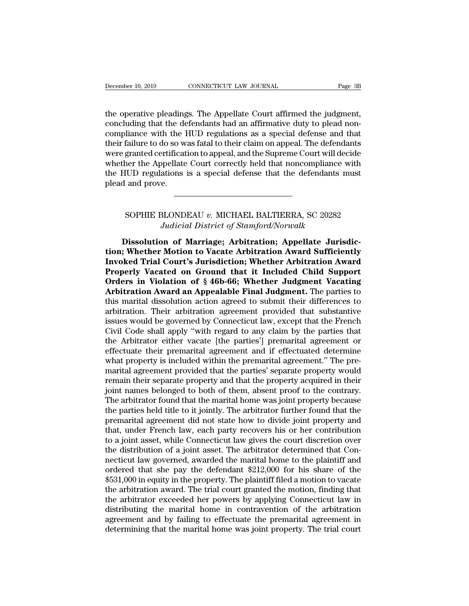the operative pleadings. The Appellate Court affirmed the judgment,<br>the operative pleadings. The Appellate Court affirmed the judgment,<br>concluding that the defendants had an affirmative duty to plead non-<br>compliance with t December 10, 2019 CONNECTICUT LAW JOURNAL Page 3B<br>the operative pleadings. The Appellate Court affirmed the judgment,<br>concluding that the defendants had an affirmative duty to plead non-<br>compliance with the HUD regulations December 10, 2019 CONNECTICUT LAW JOURNAL Page 3B<br>the operative pleadings. The Appellate Court affirmed the judgment,<br>concluding that the defendants had an affirmative duty to plead non-<br>compliance with the HUD regulations December 10, 2019 CONNECTICUT LAW JOURNAL Page 3B<br>the operative pleadings. The Appellate Court affirmed the judgment,<br>concluding that the defendants had an affirmative duty to plead non-<br>compliance with the HUD regulations the operative pleadings. The Appellate Court affirmed the judgment, concluding that the defendants had an affirmative duty to plead non-compliance with the HUD regulations as a special defense and that their failure to do the operative pleadings. The Appellate Court affirmed the judgment,<br>concluding that the defendants had an affirmative duty to plead non-<br>compliance with the HUD regulations as a special defense and that<br>their failure to do the operative pleadings. The Appellate Court affirmed the judgment, concluding that the defendants had an affirmative duty to plead non-compliance with the HUD regulations as a special defense and that their failure to do concluding that the de<br>compliance with the l<br>their failure to do so w<br>were granted certificat<br>whether the Appellate<br>the HUD regulations<br>plead and prove. granted certification to appeal, and the Supreme Court will decide<br>her the Appellate Court correctly held that noncompliance with<br>IUD regulations is a special defense that the defendants must<br>and prove.<br>Norther must and pr *Judicial District of Stamford/Norwalk*<br> **Judicial District of Stamford/Norwalk**<br>
Judicial District of Stamford/Norwalk<br>
Judicial District of Stamford/Norwalk<br>
Jun of Marriage; Arbitration; Appellate Juris

**Dissolution of Marriage; Arbitration; Appellate Jurisdic-**<br> **Dissolution of Marriage; Arbitration; Appellate Jurisdic-**<br> **Dissolution of Marriage; Arbitration; Appellate Jurisdic-**<br> **Dissolution of Marriage; Arbitration A there is a control of Motion:** When the Motion; Whether Motion of Marriage; Arbitration; Appellate Jurisdiction; Whether Motion to Vacate Arbitration Award Sufficiently<br>
Invoked Trial Court's Jurisdiction; Whether Arbitra **INVOKED SOPHIE BLONDEAU v. MICHAEL BALTIERRA, SC 20282**<br> *Judicial District of Stamford/Norwalk*<br> **Dissolution of Marriage; Arbitration; Appellate Jurisdic-<br>
tion; Whether Motion to Vacate Arbitration Award Sufficiently<br> SOPHIE BLONDEAU v. MICHAEL BALTIERRA, SC 20282**<br>*Judicial District of Stamford/Norwalk*<br>**Dissolution of Marriage; Arbitration; Appellate Jurisdic-<br>tion; Whether Motion to Vacate Arbitration Award Sufficiently<br>Invoked Tria** Judicial District of Stamford/Norwalk<br>Dissolution of Marriage; Arbitration; Appellate Jurisdic-<br>tion; Whether Motion to Vacate Arbitration Award Sufficiently<br>Invoked Trial Court's Jurisdiction; Whether Arbitration Award<br>Pr Dissolution of Marriage; Arbitration; Appellate Jurisdiction; Whether Motion to Vacate Arbitration Award Sufficiently<br>Invoked Trial Court's Jurisdiction; Whether Arbitration Award<br>Properly Vacated on Ground that it Include Dissolution of Marriage; Arbitration; Appellate Jurisdiction; Whether Motion to Vacate Arbitration Award Sufficiently<br>Invoked Trial Court's Jurisdiction; Whether Arbitration Award<br>Properly Vacated on Ground that it Include tion; Whether Motion to Vacate Arbitration Award Sufficiently<br>Invoked Trial Court's Jurisdiction; Whether Arbitration Award<br>Properly Vacated on Ground that it Included Child Support<br>Orders in Violation of § 46b-66; Whether Invoked Trial Court's Jurisdiction; Whether Arbitration Award<br>Properly Vacated on Ground that it Included Child Support<br>Orders in Violation of § 46b-66; Whether Judgment Vacating<br>Arbitration Award an Appealable Final Judgm **Properly Vacated on Ground that it Included Child Support**<br> **Orders in Violation of § 46b-66; Whether Judgment Vacating**<br> **Arbitration Award an Appealable Final Judgment.** The parties to<br>
this marital dissolution action **Orders in Violation of § 46b-66; Whether Judgment Vacating Arbitration Award an Appealable Final Judgment**. The parties to this marital dissolution action agreed to submit their differences to arbitration. Their arbitrat Arbitration Award an Appealable Final Judgment. The parties to<br>this marital dissolution action agreed to submit their differences to<br>arbitration. Their arbitration agreement provided that substantive<br>issues would be govern this marital dissolution action agreed to submit their differences to<br>arbitration. Their arbitration agreement provided that substantive<br>issues would be governed by Connecticut law, except that the French<br>Civil Code shall arbitration. Their arbitration agreement provided that substantive<br>issues would be governed by Connecticut law, except that the French<br>Civil Code shall apply "with regard to any claim by the parties that<br>the Arbitrator eit issues would be governed by Connecticut law, except that the French Civil Code shall apply "with regard to any claim by the parties that the Arbitrator either vacate [the parties'] premarital agreement or effectuate their Civil Code shall apply "with regard to any claim by the parties that<br>the Arbitrator either vacate [the parties'] premarital agreement or<br>effectuate their premarital agreement and if effectuated determine<br>what property is i the Arbitrator either vacate [the parties'] premarital agreement or<br>effectuate their premarital agreement and if effectuated determine<br>what property is included within the premarital agreement." The pre-<br>marital agreement effectuate their premarital agreement and if effectuated determine<br>what property is included within the premarital agreement." The pre-<br>marital agreement provided that the parties' separate property would<br>remain their sepa what property is included within the premarital agreement." The pre-<br>marital agreement provided that the parties' separate property would<br>remain their separate property and that the property acquired in their<br>joint names b marital agreement provided that the parties' separate property would<br>remain their separate property and that the property acquired in their<br>joint names belonged to both of them, absent proof to the contrary.<br>The arbitrator remain their separate property and that the property acquired in their<br>joint names belonged to both of them, absent proof to the contrary.<br>The arbitrator found that the marital home was joint property because<br>the parties h joint names belonged to both of them, absent proof to the contrary.<br>The arbitrator found that the marital home was joint property because<br>the parties held title to it jointly. The arbitrator further found that the<br>premarit The arbitrator found that the marital home was joint property because<br>the parties held title to it jointly. The arbitrator further found that the<br>premarital agreement did not state how to divide joint property and<br>that, un the parties held title to it jointly. The arbitrator further found that the premarital agreement did not state how to divide joint property and that, under French law, each party recovers his or her contribution to a joint premarital agreement did not state how to divide joint property and<br>that, under French law, each party recovers his or her contribution<br>to a joint asset, while Connecticut law gives the court discretion over<br>the distributi that, under French law, each party recovers his or her contribution<br>to a joint asset, while Connecticut law gives the court discretion over<br>the distribution of a joint asset. The arbitrator determined that Con-<br>necticut la to a joint asset, while Connecticut law gives the court discretion over<br>the distribution of a joint asset. The arbitrator determined that Con-<br>necticut law governed, awarded the marital home to the plaintiff and<br>ordered th the distribution of a joint asset. The arbitrator determined that Connecticut law governed, awarded the marital home to the plaintiff and ordered that she pay the defendant \$212,000 for his share of the \$531,000 in equity necticut law governed, awarded the marital home to the plaintiff and<br>ordered that she pay the defendant \$212,000 for his share of the<br>\$531,000 in equity in the property. The plaintiff filed a motion to vacate<br>the arbitrati ordered that she pay the defendant \$212,000 for his share of the<br>\$531,000 in equity in the property. The plaintiff filed a motion to vacate<br>the arbitration award. The trial court granted the motion, finding that<br>the arbitr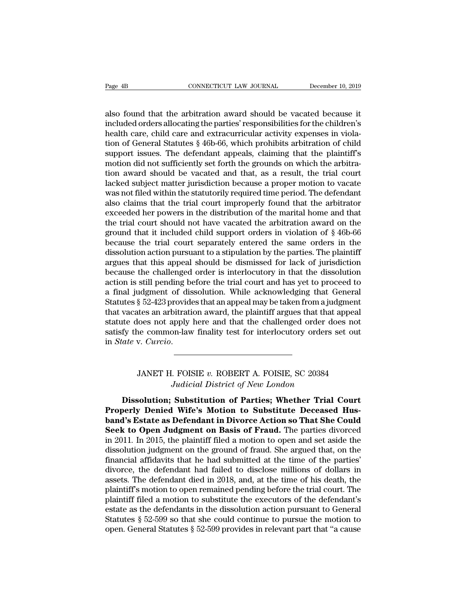Page 4B<br>
CONNECTICUT LAW JOURNAL<br>
also found that the arbitration award should be vacated because it<br>
included orders allocating the parties' responsibilities for the children's<br>
hoalth care, child care and ovtracurricular Page 4B<br>
cONNECTICUT LAW JOURNAL December 10, 2019<br>
also found that the arbitration award should be vacated because it<br>
included orders allocating the parties' responsibilities for the children's<br>
health care, child care a Page 4B<br>
CONNECTICUT LAW JOURNAL<br>
also found that the arbitration award should be vacated because it<br>
included orders allocating the parties' responsibilities for the children's<br>
health care, child care and extracurricular Page 4B<br>
CONNECTICUT LAW JOURNAL<br>
CONNECTICUT LAW JOURNAL<br>
CONNECTICUT LAW JOURNAL<br>
CONNECTICUT LAW JOURNAL<br>
CONNECTICUT LAW JOURNAL<br>
December 10, 2019<br>
included orders allocating the parties' responsibilities for the chil also found that the arbitration award should be vacated because it<br>included orders allocating the parties' responsibilities for the children's<br>health care, child care and extracurricular activity expenses in viola-<br>tion of also found that the arbitration award should be vacated because it<br>included orders allocating the parties' responsibilities for the children's<br>health care, child care and extracurricular activity expenses in viola-<br>tion of also found that the arbitration award should be vacated because it<br>included orders allocating the parties' responsibilities for the children's<br>health care, child care and extracurricular activity expenses in viola-<br>tion of included orders allocating the parties' responsibilities for the children's<br>health care, child care and extracurricular activity expenses in viola-<br>tion of General Statutes § 46b-66, which prohibits arbitration of child<br>su health care, child care and extracurricular activity expenses in violation of General Statutes § 46b-66, which prohibits arbitration of child support issues. The defendant appeals, claiming that the plaintiff's motion did tion of General Statutes § 46b-66, which prohibits arbitration of child<br>support issues. The defendant appeals, claiming that the plaintiff's<br>motion did not sufficiently set forth the grounds on which the arbitra-<br>tion awar support issues. The defendant appeals, claiming that the plaintiff's<br>motion did not sufficiently set forth the grounds on which the arbitra-<br>tion award should be vacated and that, as a result, the trial court<br>lacked subje motion did not sufficiently set forth the grounds on which the arbitration award should be vacated and that, as a result, the trial court lacked subject matter jurisdiction because a proper motion to vacate was not filed tion award should be vacated and that, as a result, the trial court<br>lacked subject matter jurisdiction because a proper motion to vacate<br>was not filed within the statutorily required time period. The defendant<br>also claims lacked subject matter jurisdiction because a proper motion to vacate<br>was not filed within the statutorily required time period. The defendant<br>also claims that the trial court improperly found that the arbitrator<br>exceeded h was not filed within the statutorily required time period. The defendant<br>also claims that the trial court improperly found that the arbitrator<br>exceeded her powers in the distribution of the marital home and that<br>the trial also claims that the trial court improperly found that the arbitrator exceeded her powers in the distribution of the marital home and that the trial court should not have vacated the arbitration award on the ground that it exceeded her powers in the distribution of the marital home and that<br>the trial court should not have vacated the arbitration award on the<br>ground that it included child support orders in violation of § 46b-66<br>because the tr the trial court should not have vacated the arbitration award on the<br>ground that it included child support orders in violation of  $\S$  46b-66<br>because the trial court separately entered the same orders in the<br>dissolution ac ground that it included child support orders in violation of  $\S$  46b-66<br>because the trial court separately entered the same orders in the<br>dissolution action pursuant to a stipulation by the parties. The plaintiff<br>argues t because the trial court separately entered the same orders in the dissolution action pursuant to a stipulation by the parties. The plaintiff argues that this appeal should be dismissed for lack of jurisdiction because the dissolution action pursuant to a stipulation by the parties. The plaintiff<br>argues that this appeal should be dismissed for lack of jurisdiction<br>because the challenged order is interlocutory in that the dissolution<br>action i argues that this appeal should be dismissed for lack of jurisdiction<br>because the challenged order is interlocutory in that the dissolution<br>action is still pending before the trial court and has yet to proceed to<br>a final ju because the challenged order is interlocutory in that the dissolution<br>action is still pending before the trial court and has yet to proceed to<br>a final judgment of dissolution. While acknowledging that General<br>Statutes § 52 in *State* v. *Curcio*. It is an arbitration award, the plaintiff argues that that appeal<br>loes not apply here and that the challenged order does not<br>ne common-law finality test for interlocutory orders set out<br>v. *Curcio.*<br>JANET H. FOISIE v. ROBE *Judicial District of New London*<br>*Judicial District of New London*<br>**Substitution of Parties; Whether Trial Constitution of Parties; Whether Trial Constitution of Parties; Whether Trial Constitution of Parties; Whether Tri** 

*Dissolution; Substitution of Parties; Whether Trial Court*<br>Dissolution; Substitution of Parties; Whether Trial Court<br>Dissolution; Substitution of Parties; Whether Trial Court<br>Dissolution; Substitution to Substitute Deceas **PROPERT A. FOISIE, SC 20384**<br> *Pudicial District of New London*<br> **Properly Denied Wife's Motion to Substitute Deceased Hus-<br>
band's Estate as Defendant in Divorce Action so That She Could<br>
Seek to Open Judgmant on Pacis o band JANET H. FOISIE v. ROBERT A. FOISIE, SC 20384**<br>*Judicial District of New London*<br>**Dissolution; Substitution of Parties; Whether Trial Court**<br>**Properly Denied Wife's Motion to Substitute Deceased Hus-<br>band's Estate as** JANET H. FOISIE v. ROBERT A. FOISIE, SC 20384<br>Judicial District of New London<br>Dissolution; Substitution of Parties; Whether Trial Court<br>Properly Denied Wife's Motion to Substitute Deceased Hus-<br>band's Estate as Defendant i *Judicial District of New London*<br>Dissolution; Substitution of Parties; Whether Trial Court<br>Properly Denied Wife's Motion to Substitute Deceased Hus-<br>band's Estate as Defendant in Divorce Action so That She Could<br>Seek to O Dissolution; Substitution of Parties; Whether Trial Court<br>Properly Denied Wife's Motion to Substitute Deceased Hus-<br>band's Estate as Defendant in Divorce Action so That She Could<br>Seek to Open Judgment on Basis of Fraud. Th **Dissolution; Substitution of Parties; Whether Trial Court**<br>**Properly Denied Wife's Motion to Substitute Deceased Hus-**<br>**band's Estate as Defendant in Divorce Action so That She Could**<br>**Seek to Open Judgment on Basis of Fr Properly Denied Wife's Motion to Substitute Deceased Hus-**<br>**band's Estate as Defendant in Divorce Action so That She Could**<br>**Seek to Open Judgment on Basis of Fraud.** The parties divorced<br>in 2011. In 2015, the plaintiff f **band's Estate as Defendant in Divorce Action so That She Could**<br>**Seek to Open Judgment on Basis of Fraud.** The parties divorced<br>in 2011. In 2015, the plaintiff filed a motion to open and set aside the<br>dissolution judgment Seek to Open Judgment on Basis of Fraud. The parties divorced<br>in 2011. In 2015, the plaintiff filed a motion to open and set aside the<br>dissolution judgment on the ground of fraud. She argued that, on the<br>financial affidavi in 2011. In 2015, the plaintiff filed a motion to open and set aside the dissolution judgment on the ground of fraud. She argued that, on the financial affidavits that he had submitted at the time of the parties' divorce, dissolution judgment on the ground of fraud. She argued that, on the financial affidavits that he had submitted at the time of the parties' divorce, the defendant had failed to disclose millions of dollars in assets. The financial affidavits that he had submitted at the time of the parties'<br>divorce, the defendant had failed to disclose millions of dollars in<br>assets. The defendant died in 2018, and, at the time of his death, the<br>plaintiff' divorce, the defendant had failed to disclose millions of dollars in assets. The defendant died in 2018, and, at the time of his death, the plaintiff's motion to open remained pending before the trial court. The plaintiff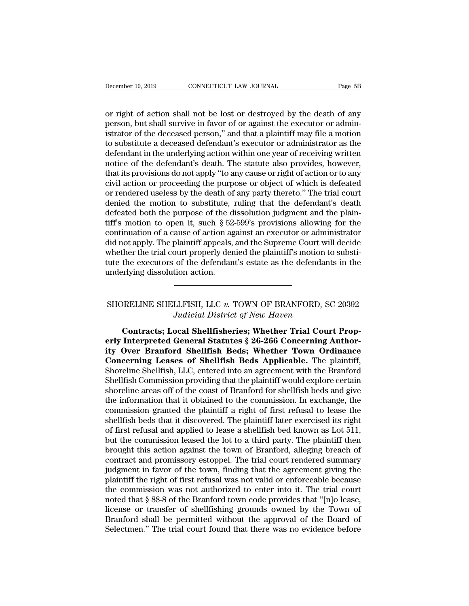December 10, 2019 CONNECTICUT LAW JOURNAL Page 5B<br>
or right of action shall not be lost or destroyed by the death of any<br>
person, but shall survive in favor of or against the executor or administrator of the deceased perso person, but shall survive in favor of or against the executor or administrator of the deceased person," and that a plaintiff may file a motion to substitute a deceased defendant's executor or administrator or administrator December 10, 2019 CONNECTICUT LAW JOURNAL Page 5B<br>
or right of action shall not be lost or destroyed by the death of any<br>
person, but shall survive in favor of or against the executor or admini-<br>
istrator of the deceased p December 10, 2019 CONNECTICUT LAW JOURNAL Page 5B<br>
or right of action shall not be lost or destroyed by the death of any<br>
person, but shall survive in favor of or against the executor or admini-<br>
istrator of the deceased p or right of action shall not be lost or destroyed by the death of any<br>person, but shall survive in favor of or against the executor or admini-<br>istrator of the deceased person," and that a plaintiff may file a motion<br>to sub or right of action shall not be lost or destroyed by the death of any<br>person, but shall survive in favor of or against the executor or administrator of the deceased person," and that a plaintiff may file a motion<br>to substi or right of action shall not be lost or destroyed by the death of any<br>person, but shall survive in favor of or against the executor or administrator of the deceased person," and that a plaintiff may file a motion<br>to substi person, but shall survive in favor of or against the executor or administrator of the deceased person," and that a plaintiff may file a motion to substitute a deceased defendant's executor or administrator as the defendant istrator of the deceased person," and that a plaintiff may file a motion<br>to substitute a deceased defendant's executor or administrator as the<br>defendant in the underlying action within one year of receiving written<br>notice to substitute a deceased defendant's executor or administrator as the defendant in the underlying action within one year of receiving written notice of the defendant's death. The statute also provides, however, that its pr defendant in the underlying action within one year of receiving written<br>notice of the defendant's death. The statute also provides, however,<br>that its provisions do not apply "to any cause or right of action or to any<br>civi notice of the defendant's death. The statute also provides, however,<br>that its provisions do not apply "to any cause or right of action or to any<br>civil action or proceeding the purpose or object of which is defeated<br>or rend that its provisions do not apply "to any cause or right of action or to any<br>civil action or proceeding the purpose or object of which is defeated<br>or rendered useless by the death of any party thereto." The trial court<br>deni civil action or proceeding the purpose or object of which is defeated<br>or rendered useless by the death of any party thereto." The trial court<br>denied the motion to substitute, ruling that the defendant's death<br>defeated both or rendered useless by the death of any party thereto." The trial court<br>denied the motion to substitute, ruling that the defendant's death<br>defeated both the purpose of the dissolution judgment and the plain-<br>tiff's motion denied the motion to substitute, ruling that the defendant's death<br>defeated both the purpose of the dissolution judgment and the plain-<br>tiff's motion to open it, such § 52-599's provisions allowing for the<br>continuation of defeated both the purpose of the d<br>tiff's motion to open it, such § 52<br>continuation of a cause of action ag<br>did not apply. The plaintiff appeals,<br>whether the trial court properly der<br>tute the executors of the defendan<br>unde did not apply. The plaintiff appeals, and the Supreme Court will decide<br>whether the trial court properly denied the plaintiff's motion to substi-<br>ute the executors of the defendant's estate as the defendants in the<br>mderlyi

# *Judicial District of New Haven*<br>**Judicial District of New Haven**<br>**Judicial District of New Haven**<br>**District of New Haven**<br>**District of New Haven**<br>**District of New Haven**<br>**District of New Haven**

**Contracts; Local Shellfish Pods: Whether Town Ordinance**<br> **Contracts; Local Shellfisheries; Whether Trial Court Prop-**<br> **Contracts; Local Shellfisheries; Whether Trial Court Prop-**<br> **Contracts: Local Shellfisheries; Wheth erlands**<br> **erlief SHERLIFISH, LLC v. TOWN OF BRANFORD, SC 20392**<br> *Judicial District of New Haven*<br> **Contracts; Local Shellfisheries; Whether Trial Court Prop-**<br> **erly Interpreted General Statutes § 26-266 Concerning Auth** SHORELINE SHELLFISH, LLC v. TOWN OF BRANFORD, SC 20392<br>*Judicial District of New Haven*<br>**Contracts; Local Shellfisheries; Whether Trial Court Prop-<br>erly Interpreted General Statutes § 26-266 Concerning Author-<br>ity Over Bra** SHORELINE SHELLFISH, LLC v. TOWN OF BRANFORD, SC 20392<br>Judicial District of New Haven<br>Contracts; Local Shellfisheries; Whether Trial Court Prop-<br>erly Interpreted General Statutes § 26-266 Concerning Author-<br>ity Over Branfo Shoreline Shellfish and Shellfisheries; Whether Trial Court Properly Interpreted General Statutes § 26-266 Concerning Author-<br>Shoreline Shellfisheries; Whether Trial Court Properly Interpreted General Statutes § 26-266 Con Contracts; Local Shellfisheries; Whether Trial Court Properly Interpreted General Statutes § 26-266 Concerning Authority Over Branford Shellfish Beds; Whether Town Ordinance Concerning Leases of Shellfish Beds Applicable. Contracts; Local Shellfisheries; Whether Trial Court Properly Interpreted General Statutes § 26-266 Concerning Authority Over Branford Shellfish Beds; Whether Town Ordinance Concerning Leases of Shellfish Beds Applicable. erly Interpreted General Statutes § 26-266 Concerning Authority Over Branford Shellfish Beds; Whether Town Ordinance<br>Concerning Leases of Shellfish Beds Applicable. The plaintiff,<br>Shoreline Shellfish, LLC, entered into an ity Over Branford Shellfish Beds; Whether Town Ordinance<br>Concerning Leases of Shellfish Beds Applicable. The plaintiff,<br>Shoreline Shellfish, LLC, entered into an agreement with the Branford<br>Shellfish Commission providing **Concerning Leases of Shellfish Beds Applicable.** The plaintiff, Shoreline Shellfish, LLC, entered into an agreement with the Branford Shellfish Commission providing that the plaintiff would explore certain shoreline areas Shoreline Shellfish, LLC, entered into an agreement with the Branford<br>Shellfish Commission providing that the plaintiff would explore certain<br>shoreline areas off of the coast of Branford for shellfish beds and give<br>the inf Shellfish Commission providing that the plaintiff would explore certain<br>shoreline areas off of the coast of Branford for shellfish beds and give<br>the information that it obtained to the commission. In exchange, the<br>commissi shoreline areas off of the coast of Branford for shellfish beds and give<br>the information that it obtained to the commission. In exchange, the<br>commission granted the plaintiff a right of first refusal to lease the<br>shellfish the information that it obtained to the commission. In exchange, the commission granted the plaintiff a right of first refusal to lease the shellfish beds that it discovered. The plaintiff later exercised its right of firs commission granted the plaintiff a right of first refusal to lease the shellfish beds that it discovered. The plaintiff later exercised its right of first refusal and applied to lease a shellfish bed known as Lot 511, but shellfish beds that it discovered. The plaintiff later exercised its right<br>of first refusal and applied to lease a shellfish bed known as Lot 511,<br>but the commission leased the lot to a third party. The plaintiff then<br>brou of first refusal and applied to lease a shellfish bed known as Lot 511,<br>but the commission leased the lot to a third party. The plaintiff then<br>brought this action against the town of Branford, alleging breach of<br>contract a but the commission leased the lot to a third party. The plaintiff then<br>brought this action against the town of Branford, alleging breach of<br>contract and promissory estoppel. The trial court rendered summary<br>judgment in fav brought this action against the town of Branford, alleging breach of contract and promissory estoppel. The trial court rendered summary judgment in favor of the town, finding that the agreement giving the plaintiff the rig contract and promissory estoppel. The trial court rendered summary<br>judgment in favor of the town, finding that the agreement giving the<br>plaintiff the right of first refusal was not valid or enforceable because<br>the commissi judgment in favor of the town, finding that the agreement giving the plaintiff the right of first refusal was not valid or enforceable because the commission was not authorized to enter into it. The trial court noted that